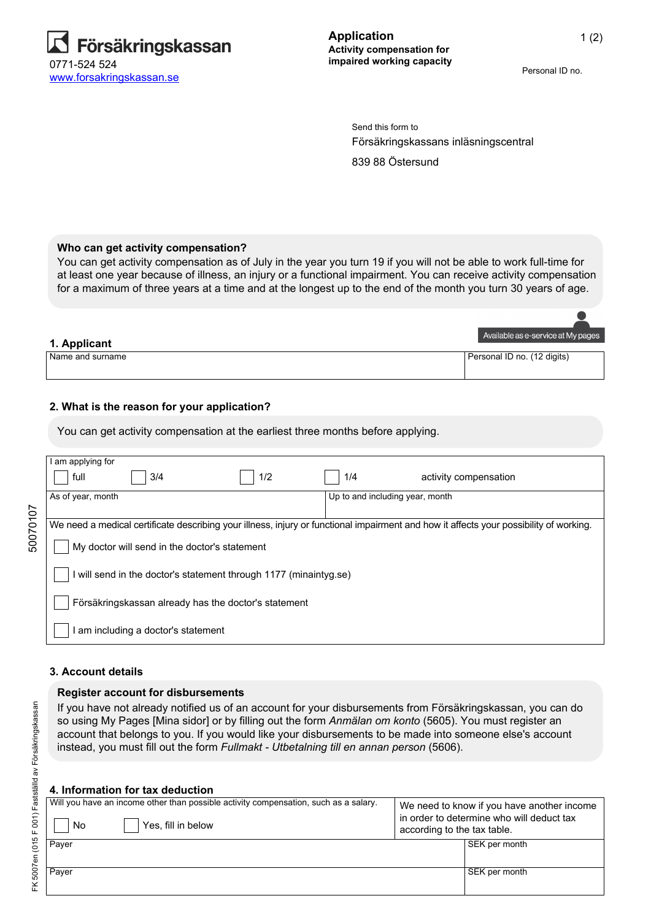

Personal ID no.

Försäkringskassans inläsningscentral 839 88 Östersund Send this form to

### **Who can get activity compensation?**

You can get activity compensation as of July in the year you turn 19 if you will not be able to work full-time for at least one year because of illness, an injury or a functional impairment. You can receive activity compensation for a maximum of three years at a time and at the longest up to the end of the month you turn 30 years of age.

|                    | Available as e-service at My pages |
|--------------------|------------------------------------|
| 1. Applicant       |                                    |
| I Name and surname | Personal ID no. (12 digits)        |
|                    |                                    |

### **2. What is the reason for your application?**

You can get activity compensation at the earliest three months before applying.

|          | am applying for                                                                                                                        |                                 |  |  |
|----------|----------------------------------------------------------------------------------------------------------------------------------------|---------------------------------|--|--|
|          | full<br>3/4<br>1/2                                                                                                                     | 1/4<br>activity compensation    |  |  |
|          | As of year, month                                                                                                                      | Up to and including year, month |  |  |
|          |                                                                                                                                        |                                 |  |  |
| 50070107 | We need a medical certificate describing your illness, injury or functional impairment and how it affects your possibility of working. |                                 |  |  |
|          |                                                                                                                                        |                                 |  |  |
|          | My doctor will send in the doctor's statement                                                                                          |                                 |  |  |
|          |                                                                                                                                        |                                 |  |  |
|          | will send in the doctor's statement through 1177 (minaintyg.se)                                                                        |                                 |  |  |
|          |                                                                                                                                        |                                 |  |  |
|          | Försäkringskassan already has the doctor's statement                                                                                   |                                 |  |  |
|          |                                                                                                                                        |                                 |  |  |
|          | am including a doctor's statement                                                                                                      |                                 |  |  |
|          |                                                                                                                                        |                                 |  |  |

#### **3. Account details**

FK 5007en (015 F 001) Fastställd av Försäkringskassan

FK 5007en (015 F 001) Fastställd av Försäkringskassan

#### **Register account for disbursements**

If you have not already notified us of an account for your disbursements from Försäkringskassan, you can do so using My Pages [Mina sidor] or by filling out the form *Anmälan om konto* (5605). You must register an account that belongs to you. If you would like your disbursements to be made into someone else's account instead, you must fill out the form *Fullmakt - Utbetalning till en annan person* (5606).

#### **4. Information for tax deduction**

| No    | Will you have an income other than possible activity compensation, such as a salary.<br>Yes, fill in below | according to the tax table. | We need to know if you have another income<br>in order to determine who will deduct tax |
|-------|------------------------------------------------------------------------------------------------------------|-----------------------------|-----------------------------------------------------------------------------------------|
| Payer |                                                                                                            |                             | SEK per month                                                                           |
| Payer |                                                                                                            |                             | SEK per month                                                                           |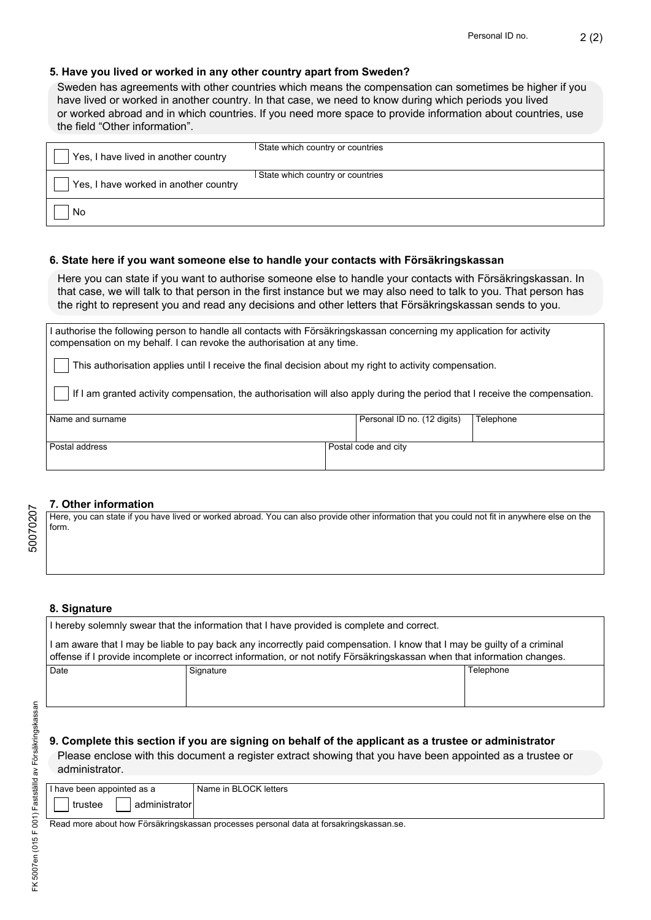2 (2)

## **5. Have you lived or worked in any other country apart from Sweden?**

Sweden has agreements with other countries which means the compensation can sometimes be higher if you have lived or worked in another country. In that case, we need to know during which periods you lived or worked abroad and in which countries. If you need more space to provide information about countries, use the field "Other information".

| Yes, I have lived in another country  | State which country or countries |
|---------------------------------------|----------------------------------|
| Yes, I have worked in another country | State which country or countries |
| No                                    |                                  |

### **6. State here if you want someone else to handle your contacts with Försäkringskassan**

Here you can state if you want to authorise someone else to handle your contacts with Försäkringskassan. In that case, we will talk to that person in the first instance but we may also need to talk to you. That person has the right to represent you and read any decisions and other letters that Försäkringskassan sends to you.

I authorise the following person to handle all contacts with Försäkringskassan concerning my application for activity compensation on my behalf. I can revoke the authorisation at any time.

This authorisation applies until I receive the final decision about my right to activity compensation.

If I am granted activity compensation, the authorisation will also apply during the period that I receive the compensation.

| I Name and surname |                      | Personal ID no. (12 digits) | Telephone |
|--------------------|----------------------|-----------------------------|-----------|
| Postal address     | Postal code and city |                             |           |

#### **7. Other information**

Here, you can state if you have lived or worked abroad. You can also provide other information that you could not fit in anywhere else on the form.

## **8. Signature**

| I hereby solemnly swear that the information that I have provided is complete and correct.                                                                                                                                                           |           |           |
|------------------------------------------------------------------------------------------------------------------------------------------------------------------------------------------------------------------------------------------------------|-----------|-----------|
| I am aware that I may be liable to pay back any incorrectly paid compensation. I know that I may be guilty of a criminal<br>offense if I provide incomplete or incorrect information, or not notify Försäkringskassan when that information changes. |           |           |
| Date                                                                                                                                                                                                                                                 | Signature | Telephone |
|                                                                                                                                                                                                                                                      |           |           |
|                                                                                                                                                                                                                                                      |           |           |

## **9. Complete this section if you are signing on behalf of the applicant as a trustee or administrator**

Please enclose with this document a register extract showing that you have been appointed as a trustee or administrator.

| I have been appointed as a | l Name in BLOCK letters l |
|----------------------------|---------------------------|
| administratori<br>trustee  |                           |

Read more about how Försäkringskassan processes personal data at forsakringskassan.se.

50070207

50070207